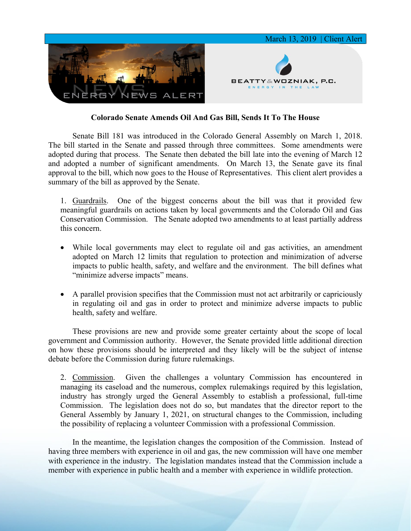

## **Colorado Senate Amends Oil And Gas Bill, Sends It To The House**

Senate Bill 181 was introduced in the Colorado General Assembly on March 1, 2018. The bill started in the Senate and passed through three committees. Some amendments were adopted during that process. The Senate then debated the bill late into the evening of March 12 and adopted a number of significant amendments. On March 13, the Senate gave its final approval to the bill, which now goes to the House of Representatives. This client alert provides a summary of the bill as approved by the Senate.

1. Guardrails. One of the biggest concerns about the bill was that it provided few meaningful guardrails on actions taken by local governments and the Colorado Oil and Gas Conservation Commission. The Senate adopted two amendments to at least partially address this concern.

- While local governments may elect to regulate oil and gas activities, an amendment adopted on March 12 limits that regulation to protection and minimization of adverse impacts to public health, safety, and welfare and the environment. The bill defines what "minimize adverse impacts" means.
- A parallel provision specifies that the Commission must not act arbitrarily or capriciously in regulating oil and gas in order to protect and minimize adverse impacts to public health, safety and welfare.

These provisions are new and provide some greater certainty about the scope of local government and Commission authority. However, the Senate provided little additional direction on how these provisions should be interpreted and they likely will be the subject of intense debate before the Commission during future rulemakings.

2. Commission. Given the challenges a voluntary Commission has encountered in managing its caseload and the numerous, complex rulemakings required by this legislation, industry has strongly urged the General Assembly to establish a professional, full-time Commission. The legislation does not do so, but mandates that the director report to the General Assembly by January 1, 2021, on structural changes to the Commission, including the possibility of replacing a volunteer Commission with a professional Commission.

In the meantime, the legislation changes the composition of the Commission. Instead of having three members with experience in oil and gas, the new commission will have one member with experience in the industry. The legislation mandates instead that the Commission include a member with experience in public health and a member with experience in wildlife protection.